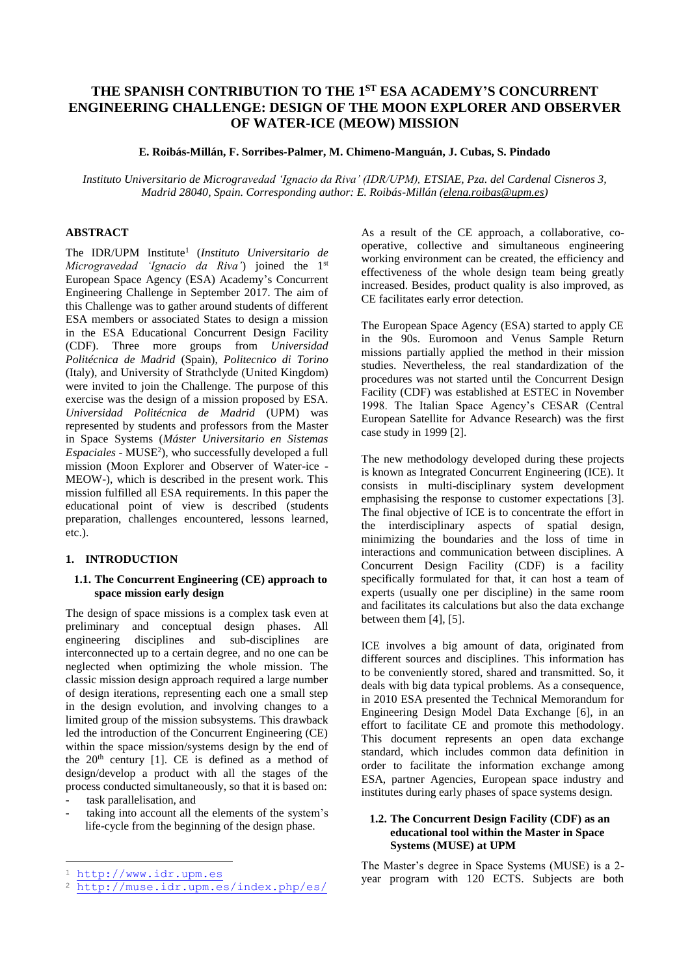# **THE SPANISH CONTRIBUTION TO THE 1ST ESA ACADEMY'S CONCURRENT ENGINEERING CHALLENGE: DESIGN OF THE MOON EXPLORER AND OBSERVER OF WATER-ICE (MEOW) MISSION**

## **E. Roibás-Millán, F. Sorribes-Palmer, M. Chimeno-Manguán, J. Cubas, S. Pindado**

*Instituto Universitario de Microgravedad 'Ignacio da Riva' (IDR/UPM), ETSIAE, Pza. del Cardenal Cisneros 3, Madrid 28040, Spain. Corresponding author: E. Roibás-Millán [\(elena.roibas@upm.es\)](mailto:elena.roibas@upm.es)*

# **ABSTRACT**

The IDR/UPM Institute<sup>1</sup> (*Instituto Universitario de Microgravedad 'Ignacio da Riva'*) joined the 1st European Space Agency (ESA) Academy's Concurrent Engineering Challenge in September 2017. The aim of this Challenge was to gather around students of different ESA members or associated States to design a mission in the ESA Educational Concurrent Design Facility (CDF). Three more groups from *Universidad Politécnica de Madrid* (Spain), *Politecnico di Torino* (Italy), and University of Strathclyde (United Kingdom) were invited to join the Challenge. The purpose of this exercise was the design of a mission proposed by ESA. *Universidad Politécnica de Madrid* (UPM) was represented by students and professors from the Master in Space Systems (*Máster Universitario en Sistemas Espaciales* - MUSE<sup>2</sup> ), who successfully developed a full mission (Moon Explorer and Observer of Water-ice - MEOW-), which is described in the present work. This mission fulfilled all ESA requirements. In this paper the educational point of view is described (students preparation, challenges encountered, lessons learned, etc.).

## **1. INTRODUCTION**

# **1.1. The Concurrent Engineering (CE) approach to space mission early design**

The design of space missions is a complex task even at preliminary and conceptual design phases. All engineering disciplines and sub-disciplines are interconnected up to a certain degree, and no one can be neglected when optimizing the whole mission. The classic mission design approach required a large number of design iterations, representing each one a small step in the design evolution, and involving changes to a limited group of the mission subsystems. This drawback led the introduction of the Concurrent Engineering (CE) within the space mission/systems design by the end of the  $20<sup>th</sup>$  century [1]. CE is defined as a method of design/develop a product with all the stages of the process conducted simultaneously, so that it is based on:

Ē,

taking into account all the elements of the system's life-cycle from the beginning of the design phase.

As a result of the CE approach, a collaborative, cooperative, collective and simultaneous engineering working environment can be created, the efficiency and effectiveness of the whole design team being greatly increased. Besides, product quality is also improved, as CE facilitates early error detection.

The European Space Agency (ESA) started to apply CE in the 90s. Euromoon and Venus Sample Return missions partially applied the method in their mission studies. Nevertheless, the real standardization of the procedures was not started until the Concurrent Design Facility (CDF) was established at ESTEC in November 1998. The Italian Space Agency's CESAR (Central European Satellite for Advance Research) was the first case study in 1999 [2].

The new methodology developed during these projects is known as Integrated Concurrent Engineering (ICE). It consists in multi-disciplinary system development emphasising the response to customer expectations [3]. The final objective of ICE is to concentrate the effort in the interdisciplinary aspects of spatial design, minimizing the boundaries and the loss of time in interactions and communication between disciplines. A Concurrent Design Facility (CDF) is a facility specifically formulated for that, it can host a team of experts (usually one per discipline) in the same room and facilitates its calculations but also the data exchange between them [4], [5].

ICE involves a big amount of data, originated from different sources and disciplines. This information has to be conveniently stored, shared and transmitted. So, it deals with big data typical problems. As a consequence, in 2010 ESA presented the Technical Memorandum for Engineering Design Model Data Exchange [6], in an effort to facilitate CE and promote this methodology. This document represents an open data exchange standard, which includes common data definition in order to facilitate the information exchange among ESA, partner Agencies, European space industry and institutes during early phases of space systems design.

# **1.2. The Concurrent Design Facility (CDF) as an educational tool within the Master in Space Systems (MUSE) at UPM**

The Master's degree in Space Systems (MUSE) is a 2 year program with 120 ECTS. Subjects are both

task parallelisation, and

<sup>1</sup> [http://www.idr.upm.es](http://www.idr.upm.es/)

<sup>2</sup> <http://muse.idr.upm.es/index.php/es/>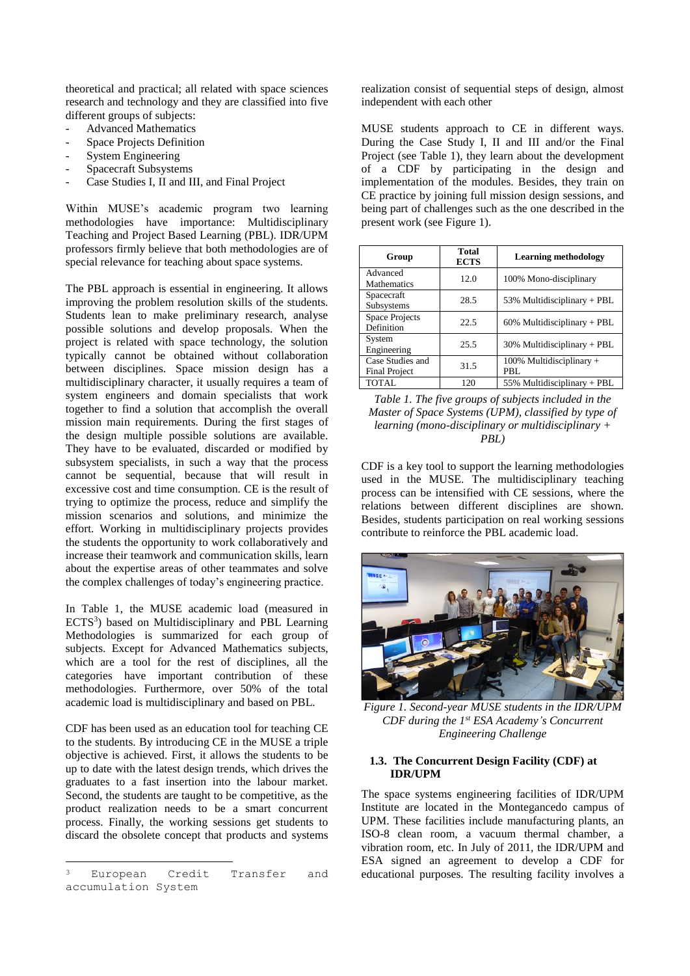theoretical and practical; all related with space sciences research and technology and they are classified into five different groups of subjects:

- Advanced Mathematics
- Space Projects Definition
- System Engineering
- Spacecraft Subsystems
- Case Studies I, II and III, and Final Project

Within MUSE's academic program two learning methodologies have importance: Multidisciplinary Teaching and Project Based Learning (PBL). IDR/UPM professors firmly believe that both methodologies are of special relevance for teaching about space systems.

The PBL approach is essential in engineering. It allows improving the problem resolution skills of the students. Students lean to make preliminary research, analyse possible solutions and develop proposals. When the project is related with space technology, the solution typically cannot be obtained without collaboration between disciplines. Space mission design has a multidisciplinary character, it usually requires a team of system engineers and domain specialists that work together to find a solution that accomplish the overall mission main requirements. During the first stages of the design multiple possible solutions are available. They have to be evaluated, discarded or modified by subsystem specialists, in such a way that the process cannot be sequential, because that will result in excessive cost and time consumption. CE is the result of trying to optimize the process, reduce and simplify the mission scenarios and solutions, and minimize the effort. Working in multidisciplinary projects provides the students the opportunity to work collaboratively and increase their teamwork and communication skills, learn about the expertise areas of other teammates and solve the complex challenges of today's engineering practice.

In Table 1, the MUSE academic load (measured in  $ECTS<sup>3</sup>$ ) based on Multidisciplinary and PBL Learning Methodologies is summarized for each group of subjects. Except for Advanced Mathematics subjects, which are a tool for the rest of disciplines, all the categories have important contribution of these methodologies. Furthermore, over 50% of the total academic load is multidisciplinary and based on PBL.

CDF has been used as an education tool for teaching CE to the students. By introducing CE in the MUSE a triple objective is achieved. First, it allows the students to be up to date with the latest design trends, which drives the graduates to a fast insertion into the labour market. Second, the students are taught to be competitive, as the product realization needs to be a smart concurrent process. Finally, the working sessions get students to discard the obsolete concept that products and systems

Ē,

realization consist of sequential steps of design, almost independent with each other

MUSE students approach to CE in different ways. During the Case Study I, II and III and/or the Final Project (see Table 1), they learn about the development of a CDF by participating in the design and implementation of the modules. Besides, they train on CE practice by joining full mission design sessions, and being part of challenges such as the one described in the present work (see Figure 1).

| Group                                    | <b>Total</b><br><b>ECTS</b> | <b>Learning methodology</b>        |
|------------------------------------------|-----------------------------|------------------------------------|
| Advanced<br><b>Mathematics</b>           | 12.0                        | 100% Mono-disciplinary             |
| Spacecraft<br>Subsystems                 | 28.5                        | 53% Multidisciplinary + PBL        |
| <b>Space Projects</b><br>Definition      | 22.5                        | $60\%$ Multidisciplinary + PBL     |
| System<br>Engineering                    | 25.5                        | $30\%$ Multidisciplinary + PBL     |
| Case Studies and<br><b>Final Project</b> | 31.5                        | $100\%$ Multidisciplinary +<br>PBL |
| <b>TOTAL</b>                             | 120                         | 55% Multidisciplinary + PBL        |

*Table 1. The five groups of subjects included in the Master of Space Systems (UPM), classified by type of learning (mono-disciplinary or multidisciplinary + PBL)*

CDF is a key tool to support the learning methodologies used in the MUSE. The multidisciplinary teaching process can be intensified with CE sessions, where the relations between different disciplines are shown. Besides, students participation on real working sessions contribute to reinforce the PBL academic load.



*Figure 1. Second-year MUSE students in the IDR/UPM CDF during the 1st ESA Academy's Concurrent Engineering Challenge*

#### **1.3. The Concurrent Design Facility (CDF) at IDR/UPM**

The space systems engineering facilities of IDR/UPM Institute are located in the Montegancedo campus of UPM. These facilities include manufacturing plants, an ISO-8 clean room, a vacuum thermal chamber, a vibration room, etc. In July of 2011, the IDR/UPM and ESA signed an agreement to develop a CDF for educational purposes. The resulting facility involves a

European Credit Transfer and accumulation System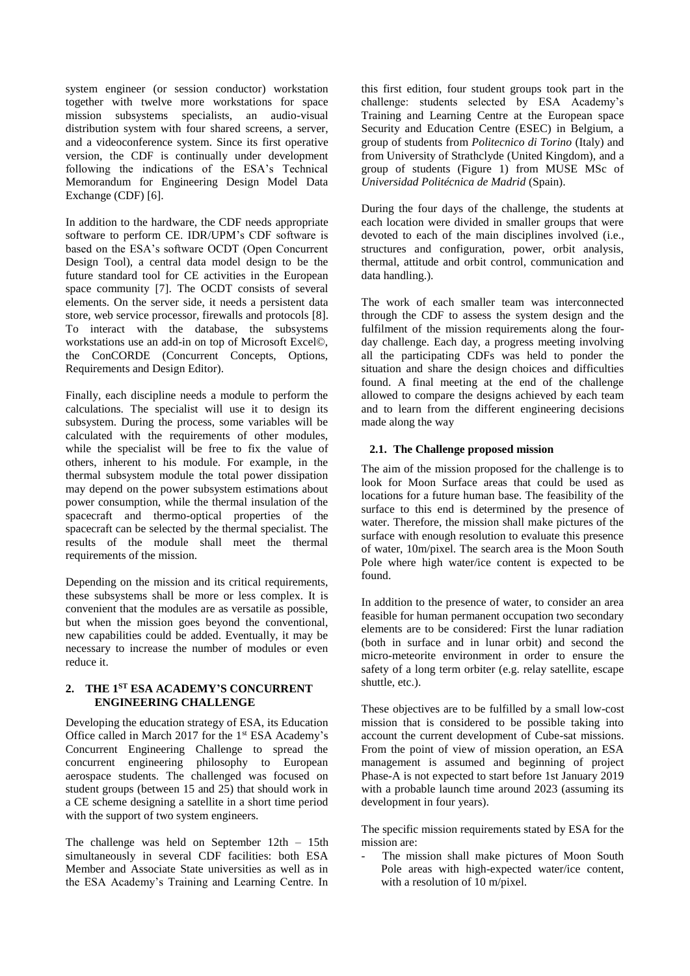system engineer (or session conductor) workstation together with twelve more workstations for space mission subsystems specialists, an audio-visual distribution system with four shared screens, a server, and a videoconference system. Since its first operative version, the CDF is continually under development following the indications of the ESA's Technical Memorandum for Engineering Design Model Data Exchange (CDF) [6].

In addition to the hardware, the CDF needs appropriate software to perform CE. IDR/UPM's CDF software is based on the ESA's software OCDT (Open Concurrent Design Tool), a central data model design to be the future standard tool for CE activities in the European space community [7]. The OCDT consists of several elements. On the server side, it needs a persistent data store, web service processor, firewalls and protocols [8]. To interact with the database, the subsystems workstations use an add-in on top of Microsoft Excel©, the ConCORDE (Concurrent Concepts, Options, Requirements and Design Editor).

Finally, each discipline needs a module to perform the calculations. The specialist will use it to design its subsystem. During the process, some variables will be calculated with the requirements of other modules, while the specialist will be free to fix the value of others, inherent to his module. For example, in the thermal subsystem module the total power dissipation may depend on the power subsystem estimations about power consumption, while the thermal insulation of the spacecraft and thermo-optical properties of the spacecraft can be selected by the thermal specialist. The results of the module shall meet the thermal requirements of the mission.

Depending on the mission and its critical requirements, these subsystems shall be more or less complex. It is convenient that the modules are as versatile as possible, but when the mission goes beyond the conventional, new capabilities could be added. Eventually, it may be necessary to increase the number of modules or even reduce it.

## **2. THE 1ST ESA ACADEMY'S CONCURRENT ENGINEERING CHALLENGE**

Developing the education strategy of ESA, its Education Office called in March 2017 for the 1<sup>st</sup> ESA Academy's Concurrent Engineering Challenge to spread the concurrent engineering philosophy to European aerospace students. The challenged was focused on student groups (between 15 and 25) that should work in a CE scheme designing a satellite in a short time period with the support of two system engineers.

The challenge was held on September 12th – 15th simultaneously in several CDF facilities: both ESA Member and Associate State universities as well as in the ESA Academy's Training and Learning Centre. In this first edition, four student groups took part in the challenge: students selected by ESA Academy's Training and Learning Centre at the European space Security and Education Centre (ESEC) in Belgium, a group of students from *Politecnico di Torino* (Italy) and from University of Strathclyde (United Kingdom), and a group of students (Figure 1) from MUSE MSc of *Universidad Politécnica de Madrid* (Spain).

During the four days of the challenge, the students at each location were divided in smaller groups that were devoted to each of the main disciplines involved (i.e., structures and configuration, power, orbit analysis, thermal, attitude and orbit control, communication and data handling.).

The work of each smaller team was interconnected through the CDF to assess the system design and the fulfilment of the mission requirements along the fourday challenge. Each day, a progress meeting involving all the participating CDFs was held to ponder the situation and share the design choices and difficulties found. A final meeting at the end of the challenge allowed to compare the designs achieved by each team and to learn from the different engineering decisions made along the way

# **2.1. The Challenge proposed mission**

The aim of the mission proposed for the challenge is to look for Moon Surface areas that could be used as locations for a future human base. The feasibility of the surface to this end is determined by the presence of water. Therefore, the mission shall make pictures of the surface with enough resolution to evaluate this presence of water, 10m/pixel. The search area is the Moon South Pole where high water/ice content is expected to be found.

In addition to the presence of water, to consider an area feasible for human permanent occupation two secondary elements are to be considered: First the lunar radiation (both in surface and in lunar orbit) and second the micro-meteorite environment in order to ensure the safety of a long term orbiter (e.g. relay satellite, escape shuttle, etc.).

These objectives are to be fulfilled by a small low-cost mission that is considered to be possible taking into account the current development of Cube-sat missions. From the point of view of mission operation, an ESA management is assumed and beginning of project Phase-A is not expected to start before 1st January 2019 with a probable launch time around 2023 (assuming its development in four years).

The specific mission requirements stated by ESA for the mission are:

The mission shall make pictures of Moon South Pole areas with high-expected water/ice content, with a resolution of 10 m/pixel.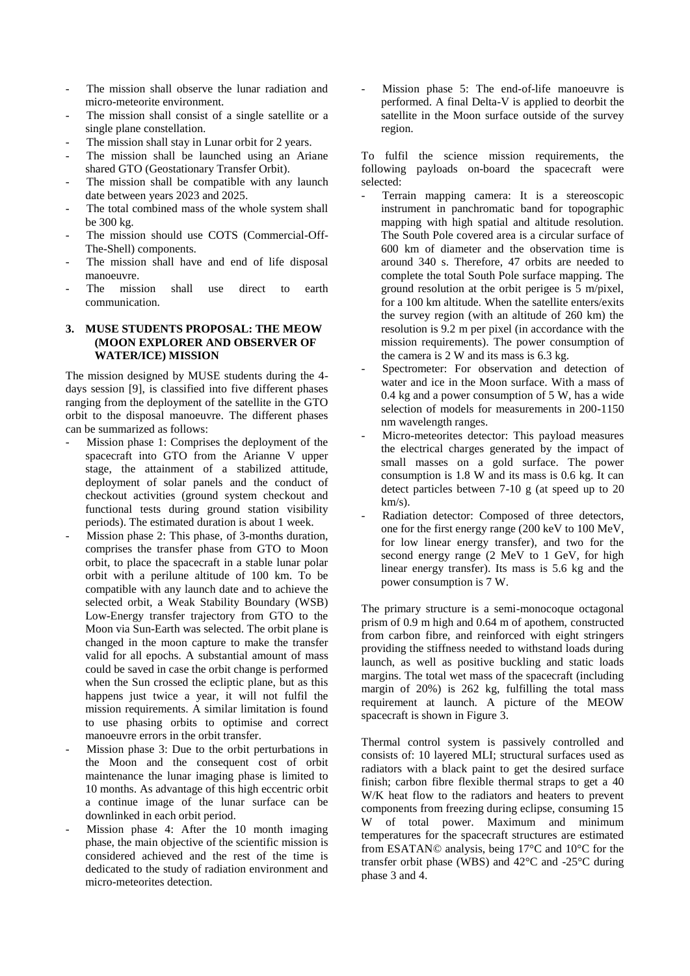- The mission shall observe the lunar radiation and micro-meteorite environment.
- The mission shall consist of a single satellite or a single plane constellation.
- The mission shall stay in Lunar orbit for 2 years.
- The mission shall be launched using an Ariane shared GTO (Geostationary Transfer Orbit).
- The mission shall be compatible with any launch date between years 2023 and 2025.
- The total combined mass of the whole system shall be 300 kg.
- The mission should use COTS (Commercial-Off-The-Shell) components.
- The mission shall have and end of life disposal manoeuvre.
- The mission shall use direct to earth communication.

# **3. MUSE STUDENTS PROPOSAL: THE MEOW (MOON EXPLORER AND OBSERVER OF WATER/ICE) MISSION**

The mission designed by MUSE students during the 4 days session [9], is classified into five different phases ranging from the deployment of the satellite in the GTO orbit to the disposal manoeuvre. The different phases can be summarized as follows:

- Mission phase 1: Comprises the deployment of the spacecraft into GTO from the Arianne V upper stage, the attainment of a stabilized attitude, deployment of solar panels and the conduct of checkout activities (ground system checkout and functional tests during ground station visibility periods). The estimated duration is about 1 week.
- Mission phase 2: This phase, of 3-months duration, comprises the transfer phase from GTO to Moon orbit, to place the spacecraft in a stable lunar polar orbit with a perilune altitude of 100 km. To be compatible with any launch date and to achieve the selected orbit, a Weak Stability Boundary (WSB) Low-Energy transfer trajectory from GTO to the Moon via Sun-Earth was selected. The orbit plane is changed in the moon capture to make the transfer valid for all epochs. A substantial amount of mass could be saved in case the orbit change is performed when the Sun crossed the ecliptic plane, but as this happens just twice a year, it will not fulfil the mission requirements. A similar limitation is found to use phasing orbits to optimise and correct manoeuvre errors in the orbit transfer.
- Mission phase 3: Due to the orbit perturbations in the Moon and the consequent cost of orbit maintenance the lunar imaging phase is limited to 10 months. As advantage of this high eccentric orbit a continue image of the lunar surface can be downlinked in each orbit period.
- Mission phase 4: After the 10 month imaging phase, the main objective of the scientific mission is considered achieved and the rest of the time is dedicated to the study of radiation environment and micro-meteorites detection.

Mission phase 5: The end-of-life manoeuvre is performed. A final Delta-V is applied to deorbit the satellite in the Moon surface outside of the survey region.

To fulfil the science mission requirements, the following payloads on-board the spacecraft were selected:

- Terrain mapping camera: It is a stereoscopic instrument in panchromatic band for topographic mapping with high spatial and altitude resolution. The South Pole covered area is a circular surface of 600 km of diameter and the observation time is around 340 s. Therefore, 47 orbits are needed to complete the total South Pole surface mapping. The ground resolution at the orbit perigee is 5 m/pixel, for a 100 km altitude. When the satellite enters/exits the survey region (with an altitude of 260 km) the resolution is 9.2 m per pixel (in accordance with the mission requirements). The power consumption of the camera is 2 W and its mass is 6.3 kg.
- Spectrometer: For observation and detection of water and ice in the Moon surface. With a mass of 0.4 kg and a power consumption of 5 W, has a wide selection of models for measurements in 200-1150 nm wavelength ranges.
- Micro-meteorites detector: This payload measures the electrical charges generated by the impact of small masses on a gold surface. The power consumption is 1.8 W and its mass is 0.6 kg. It can detect particles between 7-10 g (at speed up to 20 km/s).
- Radiation detector: Composed of three detectors, one for the first energy range (200 keV to 100 MeV, for low linear energy transfer), and two for the second energy range (2 MeV to 1 GeV, for high linear energy transfer). Its mass is 5.6 kg and the power consumption is 7 W.

The primary structure is a semi-monocoque octagonal prism of 0.9 m high and 0.64 m of apothem, constructed from carbon fibre, and reinforced with eight stringers providing the stiffness needed to withstand loads during launch, as well as positive buckling and static loads margins. The total wet mass of the spacecraft (including margin of 20%) is 262 kg, fulfilling the total mass requirement at launch. A picture of the MEOW spacecraft is shown in Figure 3.

Thermal control system is passively controlled and consists of: 10 layered MLI; structural surfaces used as radiators with a black paint to get the desired surface finish; carbon fibre flexible thermal straps to get a 40 W/K heat flow to the radiators and heaters to prevent components from freezing during eclipse, consuming 15 W of total power. Maximum and minimum temperatures for the spacecraft structures are estimated from ESATAN© analysis, being 17°C and 10°C for the transfer orbit phase (WBS) and 42°C and -25°C during phase 3 and 4.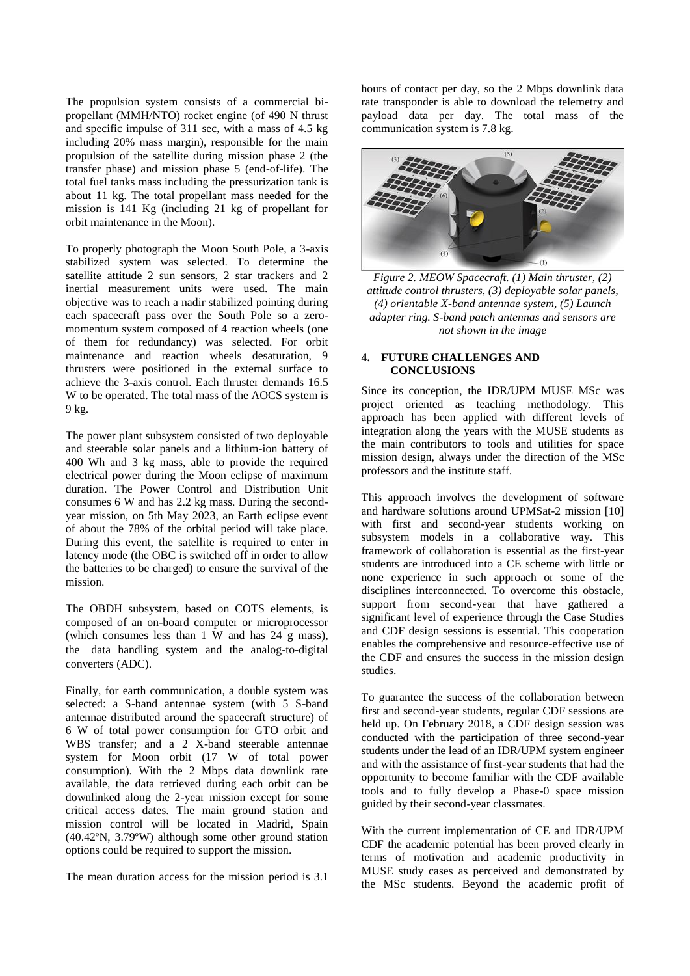The propulsion system consists of a commercial bipropellant (MMH/NTO) rocket engine (of 490 N thrust and specific impulse of 311 sec, with a mass of 4.5 kg including 20% mass margin), responsible for the main propulsion of the satellite during mission phase 2 (the transfer phase) and mission phase 5 (end-of-life). The total fuel tanks mass including the pressurization tank is about 11 kg. The total propellant mass needed for the mission is 141 Kg (including 21 kg of propellant for orbit maintenance in the Moon).

To properly photograph the Moon South Pole, a 3-axis stabilized system was selected. To determine the satellite attitude 2 sun sensors, 2 star trackers and 2 inertial measurement units were used. The main objective was to reach a nadir stabilized pointing during each spacecraft pass over the South Pole so a zeromomentum system composed of 4 reaction wheels (one of them for redundancy) was selected. For orbit maintenance and reaction wheels desaturation, 9 thrusters were positioned in the external surface to achieve the 3-axis control. Each thruster demands 16.5 W to be operated. The total mass of the AOCS system is 9 kg.

The power plant subsystem consisted of two deployable and steerable solar panels and a lithium-ion battery of 400 Wh and 3 kg mass, able to provide the required electrical power during the Moon eclipse of maximum duration. The Power Control and Distribution Unit consumes 6 W and has 2.2 kg mass. During the secondyear mission, on 5th May 2023, an Earth eclipse event of about the 78% of the orbital period will take place. During this event, the satellite is required to enter in latency mode (the OBC is switched off in order to allow the batteries to be charged) to ensure the survival of the mission.

The OBDH subsystem, based on COTS elements, is composed of an on-board computer or microprocessor (which consumes less than 1 W and has 24 g mass), the data handling system and the analog-to-digital converters (ADC).

Finally, for earth communication, a double system was selected: a S-band antennae system (with 5 S-band antennae distributed around the spacecraft structure) of 6 W of total power consumption for GTO orbit and WBS transfer; and a 2 X-band steerable antennae system for Moon orbit (17 W of total power consumption). With the 2 Mbps data downlink rate available, the data retrieved during each orbit can be downlinked along the 2-year mission except for some critical access dates. The main ground station and mission control will be located in Madrid, Spain (40.42ºN, 3.79ºW) although some other ground station options could be required to support the mission.

The mean duration access for the mission period is 3.1

hours of contact per day, so the 2 Mbps downlink data rate transponder is able to download the telemetry and payload data per day. The total mass of the communication system is 7.8 kg.



*Figure 2. MEOW Spacecraft. (1) Main thruster, (2) attitude control thrusters, (3) deployable solar panels, (4) orientable X-band antennae system, (5) Launch adapter ring. S-band patch antennas and sensors are not shown in the image*

## **4. FUTURE CHALLENGES AND CONCLUSIONS**

Since its conception, the IDR/UPM MUSE MSc was project oriented as teaching methodology. This approach has been applied with different levels of integration along the years with the MUSE students as the main contributors to tools and utilities for space mission design, always under the direction of the MSc professors and the institute staff.

This approach involves the development of software and hardware solutions around UPMSat-2 mission [10] with first and second-year students working on subsystem models in a collaborative way. This framework of collaboration is essential as the first-year students are introduced into a CE scheme with little or none experience in such approach or some of the disciplines interconnected. To overcome this obstacle, support from second-year that have gathered a significant level of experience through the Case Studies and CDF design sessions is essential. This cooperation enables the comprehensive and resource-effective use of the CDF and ensures the success in the mission design studies.

To guarantee the success of the collaboration between first and second-year students, regular CDF sessions are held up. On February 2018, a CDF design session was conducted with the participation of three second-year students under the lead of an IDR/UPM system engineer and with the assistance of first-year students that had the opportunity to become familiar with the CDF available tools and to fully develop a Phase-0 space mission guided by their second-year classmates.

With the current implementation of CE and IDR/UPM CDF the academic potential has been proved clearly in terms of motivation and academic productivity in MUSE study cases as perceived and demonstrated by the MSc students. Beyond the academic profit of